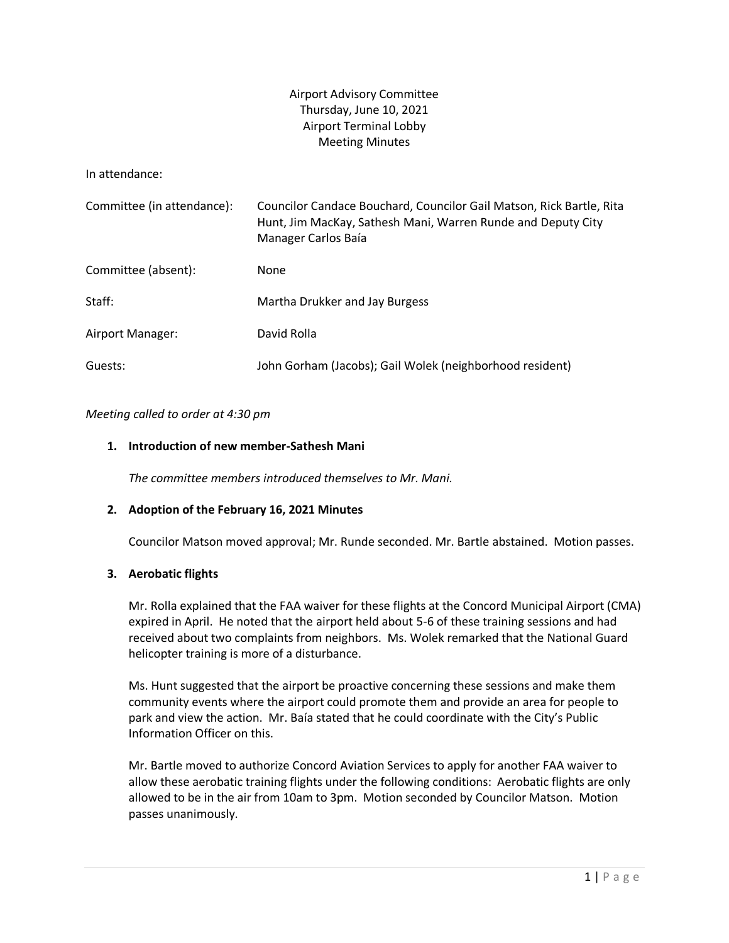# Airport Advisory Committee Thursday, June 10, 2021 Airport Terminal Lobby Meeting Minutes

In attendance:

| Committee (in attendance): | Councilor Candace Bouchard, Councilor Gail Matson, Rick Bartle, Rita<br>Hunt, Jim MacKay, Sathesh Mani, Warren Runde and Deputy City<br>Manager Carlos Baía |
|----------------------------|-------------------------------------------------------------------------------------------------------------------------------------------------------------|
| Committee (absent):        | None                                                                                                                                                        |
| Staff:                     | Martha Drukker and Jay Burgess                                                                                                                              |
| Airport Manager:           | David Rolla                                                                                                                                                 |
| Guests:                    | John Gorham (Jacobs); Gail Wolek (neighborhood resident)                                                                                                    |

## *Meeting called to order at 4:30 pm*

## **1. Introduction of new member-Sathesh Mani**

*The committee members introduced themselves to Mr. Mani.*

## **2. Adoption of the February 16, 2021 Minutes**

Councilor Matson moved approval; Mr. Runde seconded. Mr. Bartle abstained. Motion passes.

## **3. Aerobatic flights**

Mr. Rolla explained that the FAA waiver for these flights at the Concord Municipal Airport (CMA) expired in April. He noted that the airport held about 5-6 of these training sessions and had received about two complaints from neighbors. Ms. Wolek remarked that the National Guard helicopter training is more of a disturbance.

Ms. Hunt suggested that the airport be proactive concerning these sessions and make them community events where the airport could promote them and provide an area for people to park and view the action. Mr. Baía stated that he could coordinate with the City's Public Information Officer on this.

Mr. Bartle moved to authorize Concord Aviation Services to apply for another FAA waiver to allow these aerobatic training flights under the following conditions: Aerobatic flights are only allowed to be in the air from 10am to 3pm. Motion seconded by Councilor Matson. Motion passes unanimously.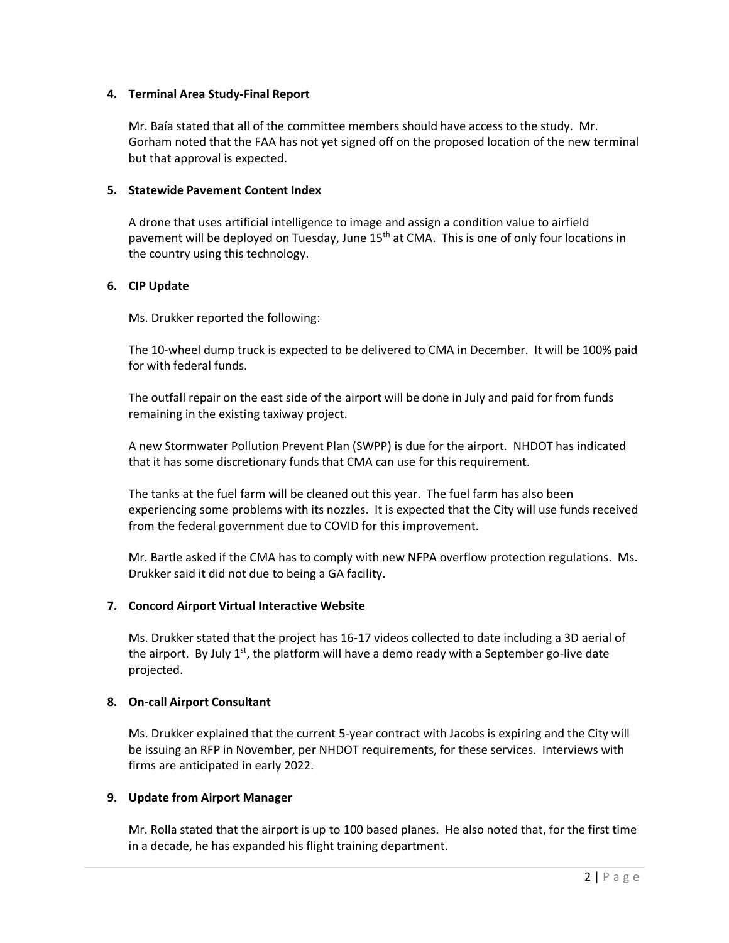## **4. Terminal Area Study-Final Report**

Mr. Baía stated that all of the committee members should have access to the study. Mr. Gorham noted that the FAA has not yet signed off on the proposed location of the new terminal but that approval is expected.

## **5. Statewide Pavement Content Index**

A drone that uses artificial intelligence to image and assign a condition value to airfield pavement will be deployed on Tuesday, June 15<sup>th</sup> at CMA. This is one of only four locations in the country using this technology.

## **6. CIP Update**

Ms. Drukker reported the following:

The 10-wheel dump truck is expected to be delivered to CMA in December. It will be 100% paid for with federal funds.

The outfall repair on the east side of the airport will be done in July and paid for from funds remaining in the existing taxiway project.

A new Stormwater Pollution Prevent Plan (SWPP) is due for the airport. NHDOT has indicated that it has some discretionary funds that CMA can use for this requirement.

The tanks at the fuel farm will be cleaned out this year. The fuel farm has also been experiencing some problems with its nozzles. It is expected that the City will use funds received from the federal government due to COVID for this improvement.

Mr. Bartle asked if the CMA has to comply with new NFPA overflow protection regulations. Ms. Drukker said it did not due to being a GA facility.

# **7. Concord Airport Virtual Interactive Website**

Ms. Drukker stated that the project has 16-17 videos collected to date including a 3D aerial of the airport. By July  $1<sup>st</sup>$ , the platform will have a demo ready with a September go-live date projected.

## **8. On-call Airport Consultant**

Ms. Drukker explained that the current 5-year contract with Jacobs is expiring and the City will be issuing an RFP in November, per NHDOT requirements, for these services. Interviews with firms are anticipated in early 2022.

## **9. Update from Airport Manager**

Mr. Rolla stated that the airport is up to 100 based planes. He also noted that, for the first time in a decade, he has expanded his flight training department.